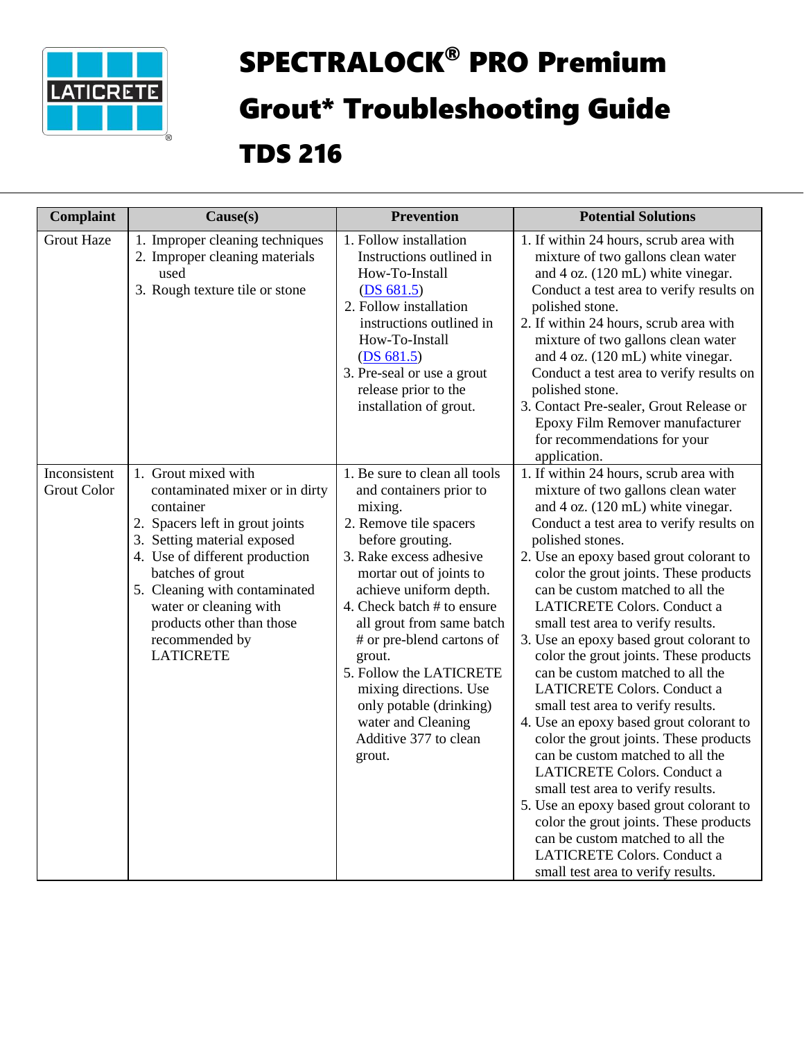

## SPECTRALOCK® PRO Premium Grout\* Troubleshooting Guide

## TDS 216

| <b>Complaint</b>                   | Cause(s)                                                                                                                                                                                                                                                                                                                 | <b>Prevention</b>                                                                                                                                                                                                                                                                                                                                                                                                                            | <b>Potential Solutions</b>                                                                                                                                                                                                                                                                                                                                                                                                                                                                                                                                                                                                                                                                                                                                                                                                                                                                                                                                                              |
|------------------------------------|--------------------------------------------------------------------------------------------------------------------------------------------------------------------------------------------------------------------------------------------------------------------------------------------------------------------------|----------------------------------------------------------------------------------------------------------------------------------------------------------------------------------------------------------------------------------------------------------------------------------------------------------------------------------------------------------------------------------------------------------------------------------------------|-----------------------------------------------------------------------------------------------------------------------------------------------------------------------------------------------------------------------------------------------------------------------------------------------------------------------------------------------------------------------------------------------------------------------------------------------------------------------------------------------------------------------------------------------------------------------------------------------------------------------------------------------------------------------------------------------------------------------------------------------------------------------------------------------------------------------------------------------------------------------------------------------------------------------------------------------------------------------------------------|
| <b>Grout Haze</b>                  | 1. Improper cleaning techniques<br>2. Improper cleaning materials<br>used<br>3. Rough texture tile or stone                                                                                                                                                                                                              | 1. Follow installation<br>Instructions outlined in<br>How-To-Install<br>(DS 681.5)<br>2. Follow installation<br>instructions outlined in<br>How-To-Install<br>(DS 681.5)<br>3. Pre-seal or use a grout<br>release prior to the<br>installation of grout.                                                                                                                                                                                     | 1. If within 24 hours, scrub area with<br>mixture of two gallons clean water<br>and 4 oz. (120 mL) white vinegar.<br>Conduct a test area to verify results on<br>polished stone.<br>2. If within 24 hours, scrub area with<br>mixture of two gallons clean water<br>and 4 oz. (120 mL) white vinegar.<br>Conduct a test area to verify results on<br>polished stone.<br>3. Contact Pre-sealer, Grout Release or<br>Epoxy Film Remover manufacturer<br>for recommendations for your<br>application.                                                                                                                                                                                                                                                                                                                                                                                                                                                                                      |
| Inconsistent<br><b>Grout Color</b> | 1. Grout mixed with<br>contaminated mixer or in dirty<br>container<br>2. Spacers left in grout joints<br>3. Setting material exposed<br>4. Use of different production<br>batches of grout<br>5. Cleaning with contaminated<br>water or cleaning with<br>products other than those<br>recommended by<br><b>LATICRETE</b> | 1. Be sure to clean all tools<br>and containers prior to<br>mixing.<br>2. Remove tile spacers<br>before grouting.<br>3. Rake excess adhesive<br>mortar out of joints to<br>achieve uniform depth.<br>4. Check batch # to ensure<br>all grout from same batch<br># or pre-blend cartons of<br>grout.<br>5. Follow the LATICRETE<br>mixing directions. Use<br>only potable (drinking)<br>water and Cleaning<br>Additive 377 to clean<br>grout. | 1. If within 24 hours, scrub area with<br>mixture of two gallons clean water<br>and 4 oz. (120 mL) white vinegar.<br>Conduct a test area to verify results on<br>polished stones.<br>2. Use an epoxy based grout colorant to<br>color the grout joints. These products<br>can be custom matched to all the<br><b>LATICRETE Colors. Conduct a</b><br>small test area to verify results.<br>3. Use an epoxy based grout colorant to<br>color the grout joints. These products<br>can be custom matched to all the<br>LATICRETE Colors. Conduct a<br>small test area to verify results.<br>4. Use an epoxy based grout colorant to<br>color the grout joints. These products<br>can be custom matched to all the<br>LATICRETE Colors. Conduct a<br>small test area to verify results.<br>5. Use an epoxy based grout colorant to<br>color the grout joints. These products<br>can be custom matched to all the<br><b>LATICRETE Colors. Conduct a</b><br>small test area to verify results. |